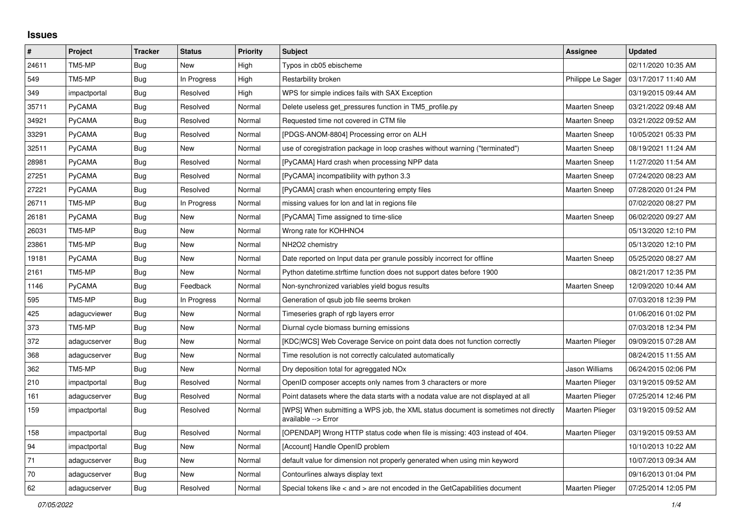## **Issues**

| $\pmb{\sharp}$ | Project       | <b>Tracker</b> | <b>Status</b> | <b>Priority</b> | <b>Subject</b>                                                                                            | Assignee               | <b>Updated</b>      |
|----------------|---------------|----------------|---------------|-----------------|-----------------------------------------------------------------------------------------------------------|------------------------|---------------------|
| 24611          | TM5-MP        | Bug            | New           | High            | Typos in cb05 ebischeme                                                                                   |                        | 02/11/2020 10:35 AM |
| 549            | TM5-MP        | <b>Bug</b>     | In Progress   | High            | Restarbility broken                                                                                       | Philippe Le Sager      | 03/17/2017 11:40 AM |
| 349            | impactportal  | Bug            | Resolved      | High            | WPS for simple indices fails with SAX Exception                                                           |                        | 03/19/2015 09:44 AM |
| 35711          | <b>PyCAMA</b> | Bug            | Resolved      | Normal          | Delete useless get pressures function in TM5 profile.py                                                   | <b>Maarten Sneep</b>   | 03/21/2022 09:48 AM |
| 34921          | PyCAMA        | Bug            | Resolved      | Normal          | Requested time not covered in CTM file                                                                    | <b>Maarten Sneep</b>   | 03/21/2022 09:52 AM |
| 33291          | PyCAMA        | Bug            | Resolved      | Normal          | [PDGS-ANOM-8804] Processing error on ALH                                                                  | <b>Maarten Sneep</b>   | 10/05/2021 05:33 PM |
| 32511          | <b>PyCAMA</b> | Bug            | New           | Normal          | use of coregistration package in loop crashes without warning ("terminated")                              | <b>Maarten Sneep</b>   | 08/19/2021 11:24 AM |
| 28981          | <b>PyCAMA</b> | Bug            | Resolved      | Normal          | [PyCAMA] Hard crash when processing NPP data                                                              | <b>Maarten Sneep</b>   | 11/27/2020 11:54 AM |
| 27251          | <b>PyCAMA</b> | Bug            | Resolved      | Normal          | [PyCAMA] incompatibility with python 3.3                                                                  | <b>Maarten Sneep</b>   | 07/24/2020 08:23 AM |
| 27221          | PyCAMA        | Bug            | Resolved      | Normal          | [PyCAMA] crash when encountering empty files                                                              | <b>Maarten Sneep</b>   | 07/28/2020 01:24 PM |
| 26711          | TM5-MP        | Bug            | In Progress   | Normal          | missing values for lon and lat in regions file                                                            |                        | 07/02/2020 08:27 PM |
| 26181          | PyCAMA        | <b>Bug</b>     | New           | Normal          | [PyCAMA] Time assigned to time-slice                                                                      | <b>Maarten Sneep</b>   | 06/02/2020 09:27 AM |
| 26031          | TM5-MP        | Bug            | New           | Normal          | Wrong rate for KOHHNO4                                                                                    |                        | 05/13/2020 12:10 PM |
| 23861          | TM5-MP        | <b>Bug</b>     | <b>New</b>    | Normal          | NH2O2 chemistry                                                                                           |                        | 05/13/2020 12:10 PM |
| 19181          | PyCAMA        | <b>Bug</b>     | <b>New</b>    | Normal          | Date reported on Input data per granule possibly incorrect for offline                                    | <b>Maarten Sneep</b>   | 05/25/2020 08:27 AM |
| 2161           | TM5-MP        | <b>Bug</b>     | New           | Normal          | Python datetime.strftime function does not support dates before 1900                                      |                        | 08/21/2017 12:35 PM |
| 1146           | PyCAMA        | Bug            | Feedback      | Normal          | Non-synchronized variables yield bogus results                                                            | <b>Maarten Sneep</b>   | 12/09/2020 10:44 AM |
| 595            | TM5-MP        | Bug            | In Progress   | Normal          | Generation of gsub job file seems broken                                                                  |                        | 07/03/2018 12:39 PM |
| 425            | adagucviewer  | Bug            | New           | Normal          | Timeseries graph of rgb layers error                                                                      |                        | 01/06/2016 01:02 PM |
| 373            | TM5-MP        | Bug            | New           | Normal          | Diurnal cycle biomass burning emissions                                                                   |                        | 07/03/2018 12:34 PM |
| 372            | adagucserver  | Bug            | New           | Normal          | [KDC WCS] Web Coverage Service on point data does not function correctly                                  | <b>Maarten Plieger</b> | 09/09/2015 07:28 AM |
| 368            | adagucserver  | Bug            | <b>New</b>    | Normal          | Time resolution is not correctly calculated automatically                                                 |                        | 08/24/2015 11:55 AM |
| 362            | TM5-MP        | Bug            | New           | Normal          | Dry deposition total for agreggated NO <sub>x</sub>                                                       | Jason Williams         | 06/24/2015 02:06 PM |
| 210            | impactportal  | Bug            | Resolved      | Normal          | OpenID composer accepts only names from 3 characters or more                                              | Maarten Plieger        | 03/19/2015 09:52 AM |
| 161            | adagucserver  | Bug            | Resolved      | Normal          | Point datasets where the data starts with a nodata value are not displayed at all                         | Maarten Plieger        | 07/25/2014 12:46 PM |
| 159            | impactportal  | Bug            | Resolved      | Normal          | [WPS] When submitting a WPS job, the XML status document is sometimes not directly<br>available --> Error | Maarten Plieger        | 03/19/2015 09:52 AM |
| 158            | impactportal  | Bug            | Resolved      | Normal          | [OPENDAP] Wrong HTTP status code when file is missing: 403 instead of 404.                                | <b>Maarten Plieger</b> | 03/19/2015 09:53 AM |
| 94             | impactportal  | Bug            | New           | Normal          | [Account] Handle OpenID problem                                                                           |                        | 10/10/2013 10:22 AM |
| 71             | adagucserver  | <b>Bug</b>     | New           | Normal          | default value for dimension not properly generated when using min keyword                                 |                        | 10/07/2013 09:34 AM |
| 70             | adagucserver  | Bug            | New           | Normal          | Contourlines always display text                                                                          |                        | 09/16/2013 01:04 PM |
| 62             | adagucserver  | <b>Bug</b>     | Resolved      | Normal          | Special tokens like < and > are not encoded in the GetCapabilities document                               | <b>Maarten Plieger</b> | 07/25/2014 12:05 PM |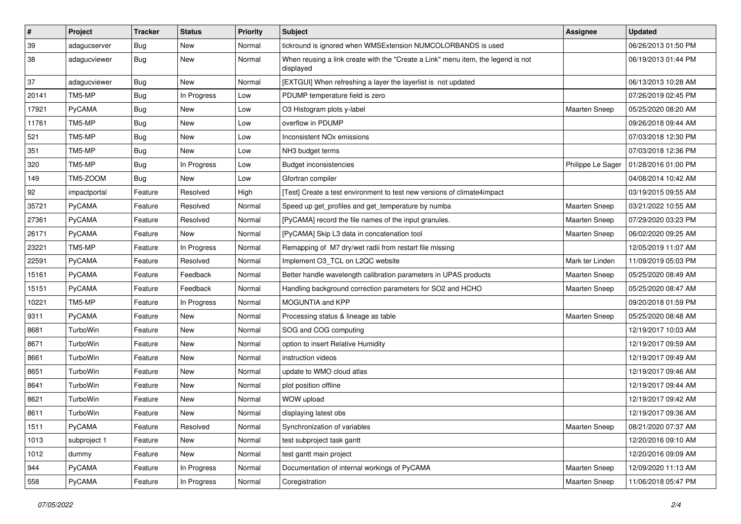| $\vert$ # | Project         | <b>Tracker</b> | <b>Status</b> | <b>Priority</b> | Subject                                                                                       | <b>Assignee</b>      | <b>Updated</b>      |
|-----------|-----------------|----------------|---------------|-----------------|-----------------------------------------------------------------------------------------------|----------------------|---------------------|
| 39        | adagucserver    | <b>Bug</b>     | New           | Normal          | tickround is ignored when WMSExtension NUMCOLORBANDS is used                                  |                      | 06/26/2013 01:50 PM |
| 38        | adagucviewer    | <b>Bug</b>     | New           | Normal          | When reusing a link create with the "Create a Link" menu item, the legend is not<br>displayed |                      | 06/19/2013 01:44 PM |
| 37        | adagucviewer    | <b>Bug</b>     | New           | Normal          | [EXTGUI] When refreshing a layer the layerlist is not updated                                 |                      | 06/13/2013 10:28 AM |
| 20141     | TM5-MP          | <b>Bug</b>     | In Progress   | Low             | PDUMP temperature field is zero                                                               |                      | 07/26/2019 02:45 PM |
| 17921     | PyCAMA          | <b>Bug</b>     | New           | Low             | O3 Histogram plots y-label                                                                    | <b>Maarten Sneep</b> | 05/25/2020 08:20 AM |
| 11761     | TM5-MP          | Bug            | <b>New</b>    | Low             | overflow in PDUMP                                                                             |                      | 09/26/2018 09:44 AM |
| 521       | TM5-MP          | <b>Bug</b>     | New           | Low             | Inconsistent NO <sub>x</sub> emissions                                                        |                      | 07/03/2018 12:30 PM |
| 351       | TM5-MP          | Bug            | New           | Low             | NH3 budget terms                                                                              |                      | 07/03/2018 12:36 PM |
| 320       | TM5-MP          | Bug            | In Progress   | Low             | <b>Budget inconsistencies</b>                                                                 | Philippe Le Sager    | 01/28/2016 01:00 PM |
| 149       | TM5-ZOOM        | <b>Bug</b>     | New           | Low             | Gfortran compiler                                                                             |                      | 04/08/2014 10:42 AM |
| 92        | impactportal    | Feature        | Resolved      | High            | [Test] Create a test environment to test new versions of climate4impact                       |                      | 03/19/2015 09:55 AM |
| 35721     | PyCAMA          | Feature        | Resolved      | Normal          | Speed up get profiles and get temperature by numba                                            | Maarten Sneep        | 03/21/2022 10:55 AM |
| 27361     | PyCAMA          | Feature        | Resolved      | Normal          | [PyCAMA] record the file names of the input granules.                                         | Maarten Sneep        | 07/29/2020 03:23 PM |
| 26171     | PyCAMA          | Feature        | New           | Normal          | [PyCAMA] Skip L3 data in concatenation tool                                                   | Maarten Sneep        | 06/02/2020 09:25 AM |
| 23221     | TM5-MP          | Feature        | In Progress   | Normal          | Remapping of M7 dry/wet radii from restart file missing                                       |                      | 12/05/2019 11:07 AM |
| 22591     | PyCAMA          | Feature        | Resolved      | Normal          | Implement O3 TCL on L2QC website                                                              | Mark ter Linden      | 11/09/2019 05:03 PM |
| 15161     | PyCAMA          | Feature        | Feedback      | Normal          | Better handle wavelength calibration parameters in UPAS products                              | Maarten Sneep        | 05/25/2020 08:49 AM |
| 15151     | PyCAMA          | Feature        | Feedback      | Normal          | Handling background correction parameters for SO2 and HCHO                                    | <b>Maarten Sneep</b> | 05/25/2020 08:47 AM |
| 10221     | TM5-MP          | Feature        | In Progress   | Normal          | MOGUNTIA and KPP                                                                              |                      | 09/20/2018 01:59 PM |
| 9311      | <b>PyCAMA</b>   | Feature        | New           | Normal          | Processing status & lineage as table                                                          | Maarten Sneep        | 05/25/2020 08:48 AM |
| 8681      | TurboWin        | Feature        | New           | Normal          | SOG and COG computing                                                                         |                      | 12/19/2017 10:03 AM |
| 8671      | TurboWin        | Feature        | New           | Normal          | option to insert Relative Humidity                                                            |                      | 12/19/2017 09:59 AM |
| 8661      | TurboWin        | Feature        | New           | Normal          | instruction videos                                                                            |                      | 12/19/2017 09:49 AM |
| 8651      | <b>TurboWin</b> | Feature        | <b>New</b>    | Normal          | update to WMO cloud atlas                                                                     |                      | 12/19/2017 09:46 AM |
| 8641      | TurboWin        | Feature        | New           | Normal          | plot position offline                                                                         |                      | 12/19/2017 09:44 AM |
| 8621      | TurboWin        | Feature        | New           | Normal          | WOW upload                                                                                    |                      | 12/19/2017 09:42 AM |
| 8611      | TurboWin        | Feature        | <b>New</b>    | Normal          | displaying latest obs                                                                         |                      | 12/19/2017 09:36 AM |
| 1511      | PyCAMA          | Feature        | Resolved      | Normal          | Synchronization of variables                                                                  | Maarten Sneep        | 08/21/2020 07:37 AM |
| 1013      | subproject 1    | Feature        | New           | Normal          | test subproject task gantt                                                                    |                      | 12/20/2016 09:10 AM |
| 1012      | dummy           | Feature        | New           | Normal          | test gantt main project                                                                       |                      | 12/20/2016 09:09 AM |
| 944       | PyCAMA          | Feature        | In Progress   | Normal          | Documentation of internal workings of PyCAMA                                                  | Maarten Sneep        | 12/09/2020 11:13 AM |
| 558       | PyCAMA          | Feature        | In Progress   | Normal          | Coregistration                                                                                | Maarten Sneep        | 11/06/2018 05:47 PM |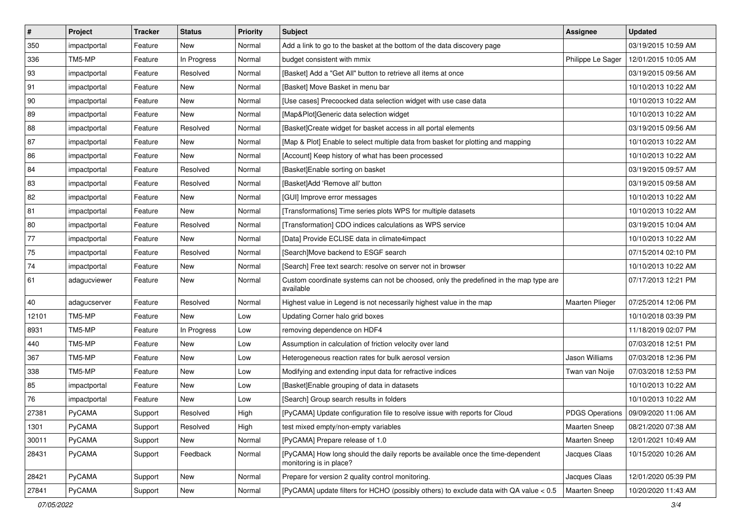| $\vert$ # | Project      | <b>Tracker</b> | <b>Status</b> | <b>Priority</b> | <b>Subject</b>                                                                                             | <b>Assignee</b>   | <b>Updated</b>                        |
|-----------|--------------|----------------|---------------|-----------------|------------------------------------------------------------------------------------------------------------|-------------------|---------------------------------------|
| 350       | impactportal | Feature        | <b>New</b>    | Normal          | Add a link to go to the basket at the bottom of the data discovery page                                    |                   | 03/19/2015 10:59 AM                   |
| 336       | TM5-MP       | Feature        | In Progress   | Normal          | budget consistent with mmix                                                                                | Philippe Le Sager | 12/01/2015 10:05 AM                   |
| 93        | impactportal | Feature        | Resolved      | Normal          | [Basket] Add a "Get All" button to retrieve all items at once                                              |                   | 03/19/2015 09:56 AM                   |
| 91        | impactportal | Feature        | New           | Normal          | [Basket] Move Basket in menu bar                                                                           |                   | 10/10/2013 10:22 AM                   |
| 90        | impactportal | Feature        | <b>New</b>    | Normal          | [Use cases] Precoocked data selection widget with use case data                                            |                   | 10/10/2013 10:22 AM                   |
| 89        | impactportal | Feature        | <b>New</b>    | Normal          | [Map&Plot]Generic data selection widget                                                                    |                   | 10/10/2013 10:22 AM                   |
| 88        | impactportal | Feature        | Resolved      | Normal          | [Basket]Create widget for basket access in all portal elements                                             |                   | 03/19/2015 09:56 AM                   |
| 87        | impactportal | Feature        | <b>New</b>    | Normal          | [Map & Plot] Enable to select multiple data from basket for plotting and mapping                           |                   | 10/10/2013 10:22 AM                   |
| 86        | impactportal | Feature        | New           | Normal          | [Account] Keep history of what has been processed                                                          |                   | 10/10/2013 10:22 AM                   |
| 84        | impactportal | Feature        | Resolved      | Normal          | [Basket]Enable sorting on basket                                                                           |                   | 03/19/2015 09:57 AM                   |
| 83        | impactportal | Feature        | Resolved      | Normal          | [Basket]Add 'Remove all' button                                                                            |                   | 03/19/2015 09:58 AM                   |
| 82        | impactportal | Feature        | New           | Normal          | [GUI] Improve error messages                                                                               |                   | 10/10/2013 10:22 AM                   |
| 81        | impactportal | Feature        | <b>New</b>    | Normal          | [Transformations] Time series plots WPS for multiple datasets                                              |                   | 10/10/2013 10:22 AM                   |
| 80        | impactportal | Feature        | Resolved      | Normal          | [Transformation] CDO indices calculations as WPS service                                                   |                   | 03/19/2015 10:04 AM                   |
| 77        | impactportal | Feature        | New           | Normal          | [Data] Provide ECLISE data in climate4impact                                                               |                   | 10/10/2013 10:22 AM                   |
| 75        | impactportal | Feature        | Resolved      | Normal          | [Search]Move backend to ESGF search                                                                        |                   | 07/15/2014 02:10 PM                   |
| 74        | impactportal | Feature        | New           | Normal          | [Search] Free text search: resolve on server not in browser                                                |                   | 10/10/2013 10:22 AM                   |
| 61        | adagucviewer | Feature        | <b>New</b>    | Normal          | Custom coordinate systems can not be choosed, only the predefined in the map type are<br>available         |                   | 07/17/2013 12:21 PM                   |
| 40        | adagucserver | Feature        | Resolved      | Normal          | Highest value in Legend is not necessarily highest value in the map                                        | Maarten Plieger   | 07/25/2014 12:06 PM                   |
| 12101     | TM5-MP       | Feature        | <b>New</b>    | Low             | Updating Corner halo grid boxes                                                                            |                   | 10/10/2018 03:39 PM                   |
| 8931      | TM5-MP       | Feature        | In Progress   | Low             | removing dependence on HDF4                                                                                |                   | 11/18/2019 02:07 PM                   |
| 440       | TM5-MP       | Feature        | <b>New</b>    | Low             | Assumption in calculation of friction velocity over land                                                   |                   | 07/03/2018 12:51 PM                   |
| 367       | TM5-MP       | Feature        | New           | Low             | Heterogeneous reaction rates for bulk aerosol version                                                      | Jason Williams    | 07/03/2018 12:36 PM                   |
| 338       | TM5-MP       | Feature        | New           | Low             | Modifying and extending input data for refractive indices                                                  | Twan van Noije    | 07/03/2018 12:53 PM                   |
| 85        | impactportal | Feature        | <b>New</b>    | Low             | [Basket]Enable grouping of data in datasets                                                                |                   | 10/10/2013 10:22 AM                   |
| 76        | impactportal | Feature        | New           | Low             | [Search] Group search results in folders                                                                   |                   | 10/10/2013 10:22 AM                   |
| 27381     | PyCAMA       | Support        | Resolved      | High            | [PyCAMA] Update configuration file to resolve issue with reports for Cloud                                 |                   | PDGS Operations   09/09/2020 11:06 AM |
| 1301      | PyCAMA       | Support        | Resolved      | High            | test mixed empty/non-empty variables                                                                       | Maarten Sneep     | 08/21/2020 07:38 AM                   |
| 30011     | PyCAMA       | Support        | New           | Normal          | [PyCAMA] Prepare release of 1.0                                                                            | Maarten Sneep     | 12/01/2021 10:49 AM                   |
| 28431     | PyCAMA       | Support        | Feedback      | Normal          | [PyCAMA] How long should the daily reports be available once the time-dependent<br>monitoring is in place? | Jacques Claas     | 10/15/2020 10:26 AM                   |
| 28421     | PyCAMA       | Support        | New           | Normal          | Prepare for version 2 quality control monitoring.                                                          | Jacques Claas     | 12/01/2020 05:39 PM                   |
| 27841     | PyCAMA       | Support        | New           | Normal          | [PyCAMA] update filters for HCHO (possibly others) to exclude data with QA value < 0.5                     | Maarten Sneep     | 10/20/2020 11:43 AM                   |